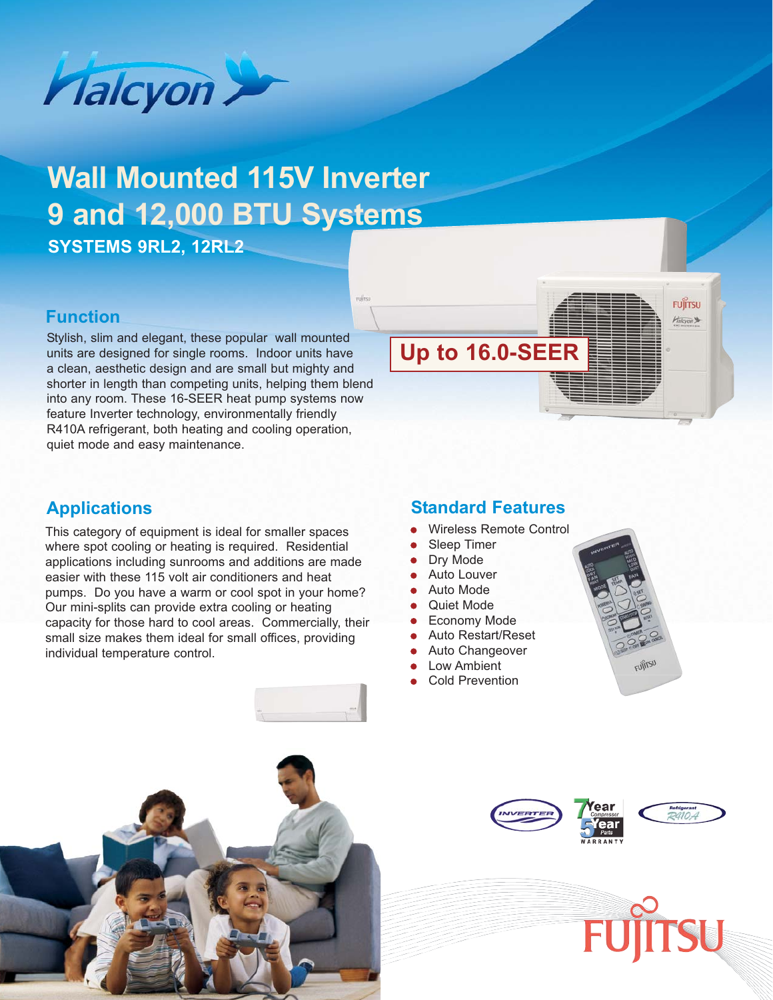

# **Wall Mounted 115V Inverter 9 and 12,000 BTU Systems**

**SYSTEMS 9RL2, 12RL2**

## **Function**

Stylish, slim and elegant, these popular wall mounted<br>units are designed for single rooms. Indoor units have **Up to 16.0-SEER** units are designed for single rooms. Indoor units have a clean, aesthetic design and are small but mighty and shorter in length than competing units, helping them blend into any room. These 16-SEER heat pump systems now feature Inverter technology, environmentally friendly R410A refrigerant, both heating and cooling operation, quiet mode and easy maintenance.



# **Applications**

This category of equipment is ideal for smaller spaces where spot cooling or heating is required. Residential applications including sunrooms and additions are made easier with these 115 volt air conditioners and heat pumps. Do you have a warm or cool spot in your home? Our mini-splits can provide extra cooling or heating capacity for those hard to cool areas. Commercially, their small size makes them ideal for small offices, providing individual temperature control.

### **Standard Features**

- Wireless Remote Control
- **Sleep Timer**
- Dry Mode
- **Auto Louver**
- Auto Mode
- **Quiet Mode**
- **Economy Mode**
- Auto Restart/Reset
- Auto Changeover
- Low Ambient
- **Cold Prevention**